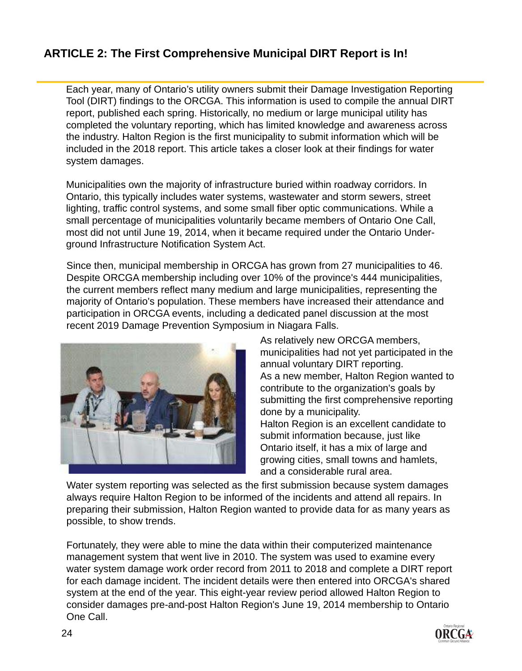## **ARTICLE 2: The First Comprehensive Municipal DIRT Report is In!**

Each year, many of Ontario's utility owners submit their Damage Investigation Reporting Tool (DIRT) findings to the ORCGA. This information is used to compile the annual DIRT report, published each spring. Historically, no medium or large municipal utility has completed the voluntary reporting, which has limited knowledge and awareness across the industry. Halton Region is the first municipality to submit information which will be included in the 2018 report. This article takes a closer look at their findings for water system damages.

Municipalities own the majority of infrastructure buried within roadway corridors. In Ontario, this typically includes water systems, wastewater and storm sewers, street lighting, traffic control systems, and some small fiber optic communications. While a small percentage of municipalities voluntarily became members of Ontario One Call, most did not until June 19, 2014, when it became required under the Ontario Underground Infrastructure Notification System Act.

Since then, municipal membership in ORCGA has grown from 27 municipalities to 46. Despite ORCGA membership including over 10% of the province's 444 municipalities, the current members reflect many medium and large municipalities, representing the majority of Ontario's population. These members have increased their attendance and participation in ORCGA events, including a dedicated panel discussion at the most recent 2019 Damage Prevention Symposium in Niagara Falls.



As relatively new ORCGA members, municipalities had not yet participated in the annual voluntary DIRT reporting. As a new member, Halton Region wanted to contribute to the organization's goals by submitting the first comprehensive reporting done by a municipality. Halton Region is an excellent candidate to submit information because, just like Ontario itself, it has a mix of large and growing cities, small towns and hamlets, and a considerable rural area.

Water system reporting was selected as the first submission because system damages always require Halton Region to be informed of the incidents and attend all repairs. In preparing their submission, Halton Region wanted to provide data for as many years as possible, to show trends.

Fortunately, they were able to mine the data within their computerized maintenance management system that went live in 2010. The system was used to examine every water system damage work order record from 2011 to 2018 and complete a DIRT report for each damage incident. The incident details were then entered into ORCGA's shared system at the end of the year. This eight-year review period allowed Halton Region to consider damages pre-and-post Halton Region's June 19, 2014 membership to Ontario One Call.